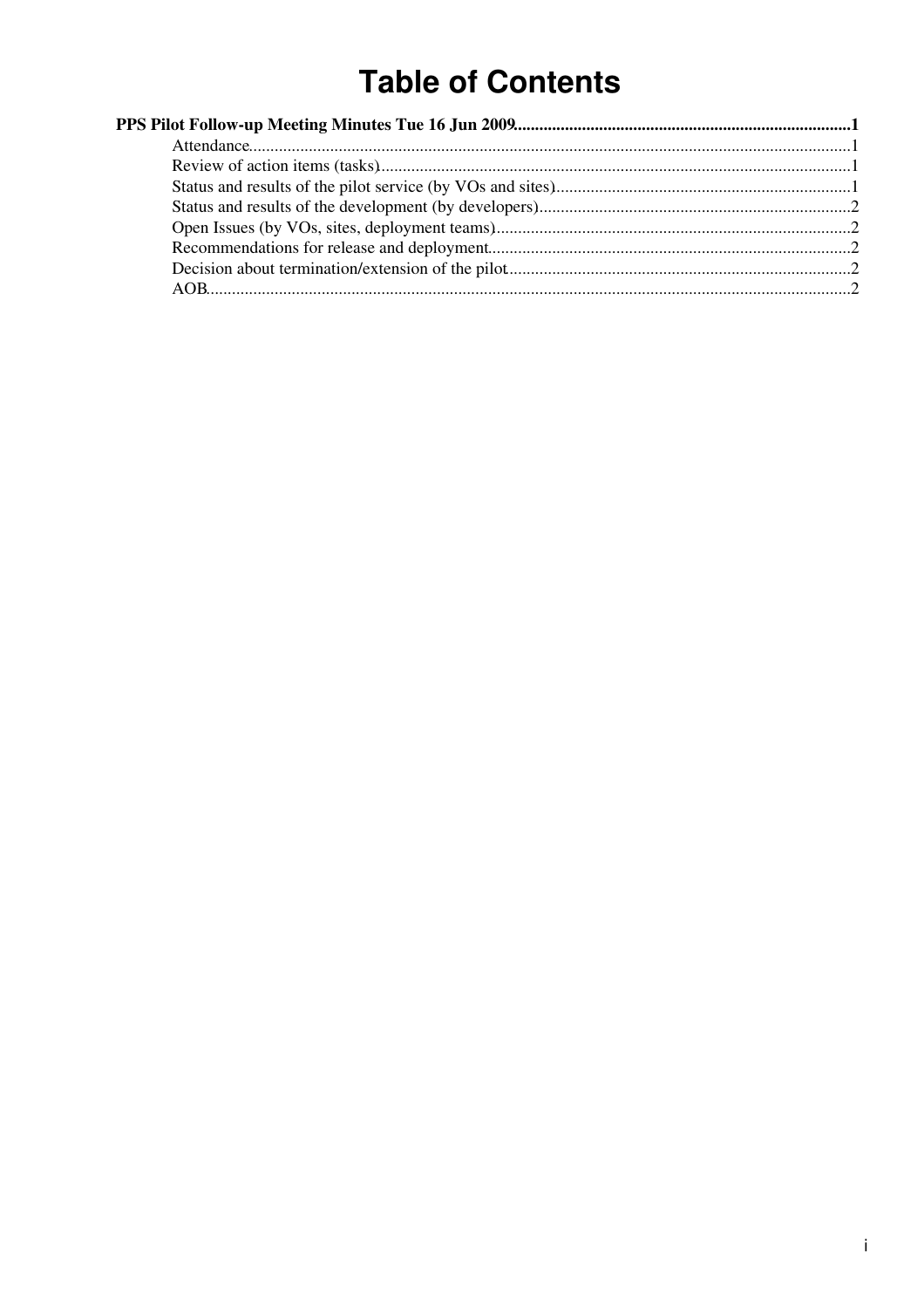# **Table of Contents**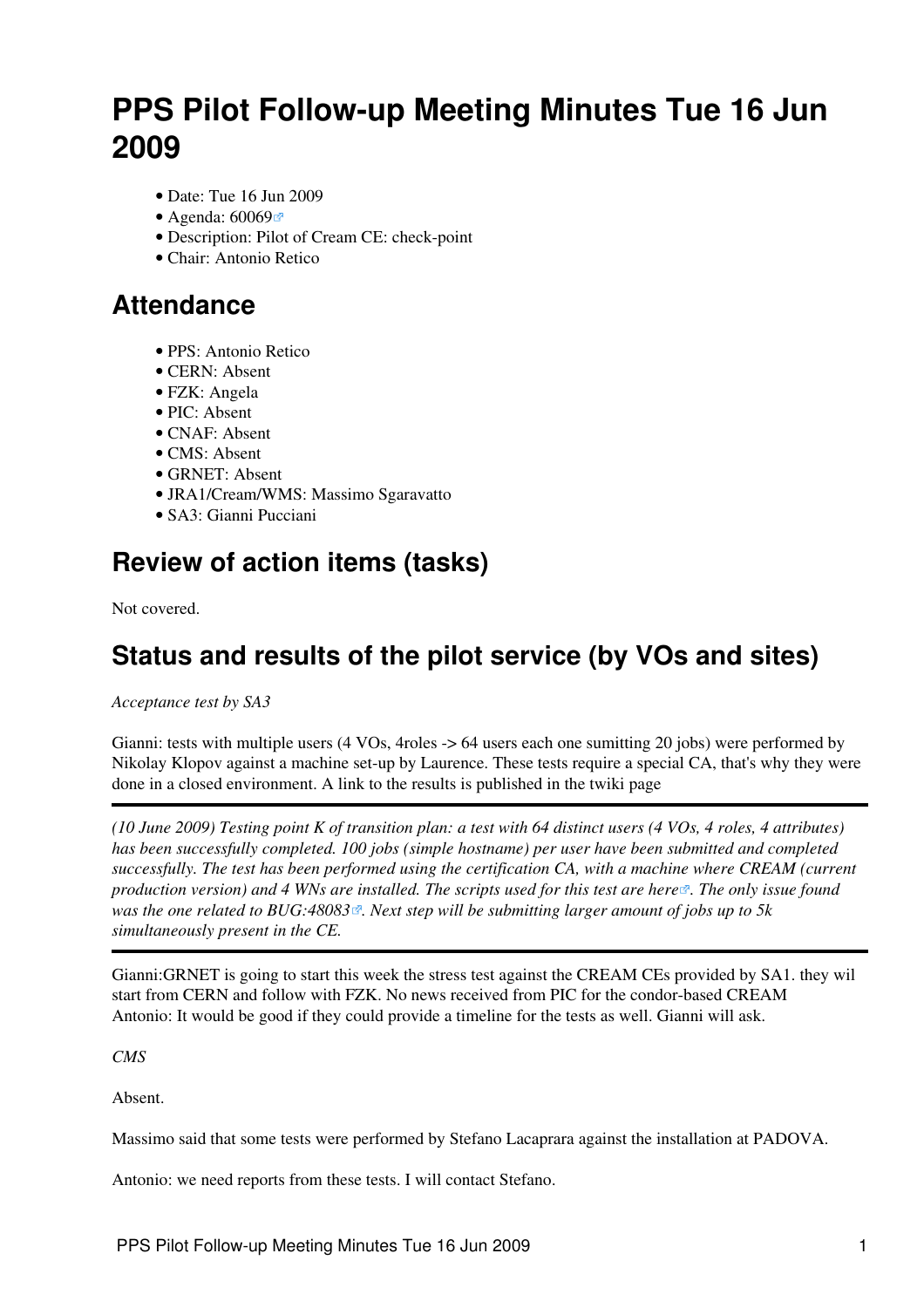# <span id="page-1-0"></span>**PPS Pilot Follow-up Meeting Minutes Tue 16 Jun 2009**

- Date: Tue 16 Jun 2009
- Agenda: [60069](http://indico.cern.ch/conferenceDisplay.py?confId=60069)
- Description: Pilot of Cream CE: check-point
- Chair: Antonio Retico

#### <span id="page-1-1"></span>**Attendance**

- PPS: Antonio Retico
- CERN: Absent
- FZK: Angela
- PIC: Absent
- CNAF: Absent
- CMS: Absent
- GRNET: Absent
- JRA1/Cream/WMS: Massimo Sgaravatto
- SA3: Gianni Pucciani

### <span id="page-1-2"></span>**Review of action items (tasks)**

Not covered.

### <span id="page-1-3"></span>**Status and results of the pilot service (by VOs and sites)**

*Acceptance test by SA3*

Gianni: tests with multiple users (4 VOs, 4roles -> 64 users each one sumitting 20 jobs) were performed by Nikolay Klopov against a machine set-up by Laurence. These tests require a special CA, that's why they were done in a closed environment. A link to the results is published in the twiki page

*(10 June 2009) Testing point K of transition plan: a test with 64 distinct users (4 VOs, 4 roles, 4 attributes) has been successfully completed. 100 jobs (simple hostname) per user have been submitted and completed successfully. The test has been performed using the certification CA, with a machine where [CREAM](https://twiki.cern.ch/twiki/bin/view/LCG/CREAM) (current production version) and 4 WNs are installed. The scripts used for this test are [here](http://glite.cvs.cern.ch/cgi-bin/glite.cgi/org.glite.testsuites.ctb/CREAM/CREAM-multiple-users/) . The only issue found was the one related to [BUG:48083](https://savannah.cern.ch/bugs/?48083) . Next step will be submitting larger amount of jobs up to 5k simultaneously present in the CE.*

Gianni:GRNET is going to start this week the stress test against the [CREAM](https://twiki.cern.ch/twiki/bin/view/LCG/CREAM) CEs provided by SA1. they wil start from CERN and follow with FZK. No news received from PIC for the condor-based [CREAM](https://twiki.cern.ch/twiki/bin/view/LCG/CREAM) Antonio: It would be good if they could provide a timeline for the tests as well. Gianni will ask.

*CMS*

Absent.

Massimo said that some tests were performed by Stefano Lacaprara against the installation at PADOVA.

Antonio: we need reports from these tests. I will contact Stefano.